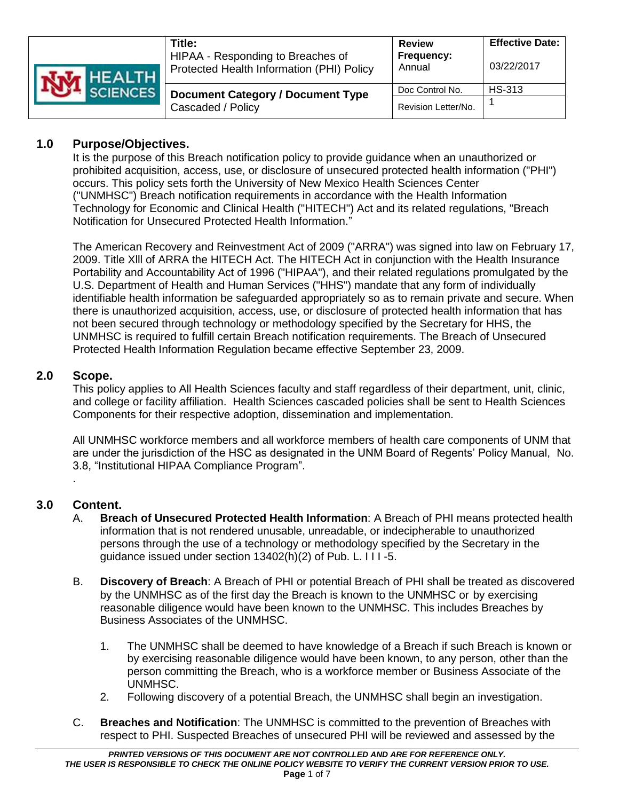| NM HEALTH<br><b>SCIENCES</b> | Title:<br>HIPAA - Responding to Breaches of<br>Protected Health Information (PHI) Policy | <b>Review</b><br>Frequency:<br>Annual | <b>Effective Date:</b><br>03/22/2017 |
|------------------------------|------------------------------------------------------------------------------------------|---------------------------------------|--------------------------------------|
|                              | <b>Document Category / Document Type</b><br>Cascaded / Policy                            | Doc Control No.                       | <b>HS-313</b>                        |
|                              |                                                                                          | Revision Letter/No.                   |                                      |

# **1.0 Purpose/Objectives.**

It is the purpose of this Breach notification policy to provide guidance when an unauthorized or prohibited acquisition, access, use, or disclosure of unsecured protected health information ("PHI") occurs. This policy sets forth the University of New Mexico Health Sciences Center ("UNMHSC") Breach notification requirements in accordance with the Health Information Technology for Economic and Clinical Health ("HITECH") Act and its related regulations, "Breach Notification for Unsecured Protected Health Information."

The American Recovery and Reinvestment Act of 2009 ("ARRA") was signed into law on February 17, 2009. Title Xlll of ARRA the HITECH Act. The HITECH Act in conjunction with the Health Insurance Portability and Accountability Act of 1996 ("HIPAA"), and their related regulations promulgated by the U.S. Department of Health and Human Services ("HHS") mandate that any form of individually identifiable health information be safeguarded appropriately so as to remain private and secure. When there is unauthorized acquisition, access, use, or disclosure of protected health information that has not been secured through technology or methodology specified by the Secretary for HHS, the UNMHSC is required to fulfill certain Breach notification requirements. The Breach of Unsecured Protected Health Information Regulation became effective September 23, 2009.

## **2.0 Scope.**

This policy applies to All Health Sciences faculty and staff regardless of their department, unit, clinic, and college or facility affiliation. Health Sciences cascaded policies shall be sent to Health Sciences Components for their respective adoption, dissemination and implementation.

All UNMHSC workforce members and all workforce members of health care components of UNM that are under the jurisdiction of the HSC as designated in the UNM Board of Regents' Policy Manual, No. 3.8, "Institutional HIPAA Compliance Program".

## **3.0 Content.**

.

- A. **Breach of Unsecured Protected Health Information**: A Breach of PHI means protected health information that is not rendered unusable, unreadable, or indecipherable to unauthorized persons through the use of a technology or methodology specified by the Secretary in the guidance issued under section 13402(h)(2) of Pub. L. I I I -5.
- B. **Discovery of Breach**: A Breach of PHI or potential Breach of PHI shall be treated as discovered by the UNMHSC as of the first day the Breach is known to the UNMHSC or by exercising reasonable diligence would have been known to the UNMHSC. This includes Breaches by Business Associates of the UNMHSC.
	- 1. The UNMHSC shall be deemed to have knowledge of a Breach if such Breach is known or by exercising reasonable diligence would have been known, to any person, other than the person committing the Breach, who is a workforce member or Business Associate of the UNMHSC.
	- 2. Following discovery of a potential Breach, the UNMHSC shall begin an investigation.
- C. **Breaches and Notification**: The UNMHSC is committed to the prevention of Breaches with respect to PHI. Suspected Breaches of unsecured PHI will be reviewed and assessed by the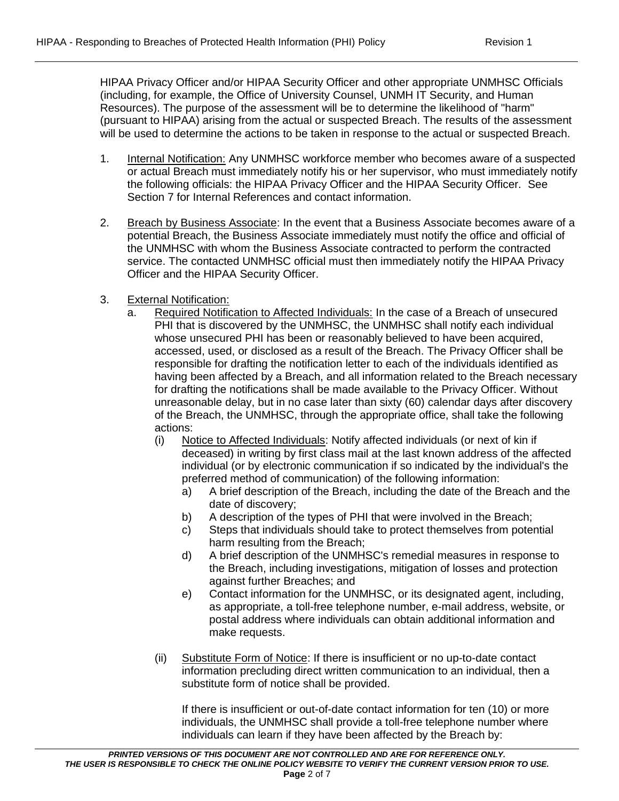HIPAA Privacy Officer and/or HIPAA Security Officer and other appropriate UNMHSC Officials (including, for example, the Office of University Counsel, UNMH IT Security, and Human Resources). The purpose of the assessment will be to determine the likelihood of "harm" (pursuant to HIPAA) arising from the actual or suspected Breach. The results of the assessment will be used to determine the actions to be taken in response to the actual or suspected Breach.

- 1. Internal Notification: Any UNMHSC workforce member who becomes aware of a suspected or actual Breach must immediately notify his or her supervisor, who must immediately notify the following officials: the HIPAA Privacy Officer and the HIPAA Security Officer. See Section 7 for Internal References and contact information.
- 2. Breach by Business Associate: In the event that a Business Associate becomes aware of a potential Breach, the Business Associate immediately must notify the office and official of the UNMHSC with whom the Business Associate contracted to perform the contracted service. The contacted UNMHSC official must then immediately notify the HIPAA Privacy Officer and the HIPAA Security Officer.
- 3. External Notification:
	- a. Required Notification to Affected Individuals: In the case of a Breach of unsecured PHI that is discovered by the UNMHSC, the UNMHSC shall notify each individual whose unsecured PHI has been or reasonably believed to have been acquired, accessed, used, or disclosed as a result of the Breach. The Privacy Officer shall be responsible for drafting the notification letter to each of the individuals identified as having been affected by a Breach, and all information related to the Breach necessary for drafting the notifications shall be made available to the Privacy Officer. Without unreasonable delay, but in no case later than sixty (60) calendar days after discovery of the Breach, the UNMHSC, through the appropriate office, shall take the following actions:
		- (i) Notice to Affected Individuals: Notify affected individuals (or next of kin if deceased) in writing by first class mail at the last known address of the affected individual (or by electronic communication if so indicated by the individual's the preferred method of communication) of the following information:
			- a) A brief description of the Breach, including the date of the Breach and the date of discovery;
			- b) A description of the types of PHI that were involved in the Breach;
			- c) Steps that individuals should take to protect themselves from potential harm resulting from the Breach;
			- d) A brief description of the UNMHSC's remedial measures in response to the Breach, including investigations, mitigation of losses and protection against further Breaches; and
			- e) Contact information for the UNMHSC, or its designated agent, including, as appropriate, a toll-free telephone number, e-mail address, website, or postal address where individuals can obtain additional information and make requests.
		- (ii) Substitute Form of Notice: If there is insufficient or no up-to-date contact information precluding direct written communication to an individual, then a substitute form of notice shall be provided.

If there is insufficient or out-of-date contact information for ten (10) or more individuals, the UNMHSC shall provide a toll-free telephone number where individuals can learn if they have been affected by the Breach by: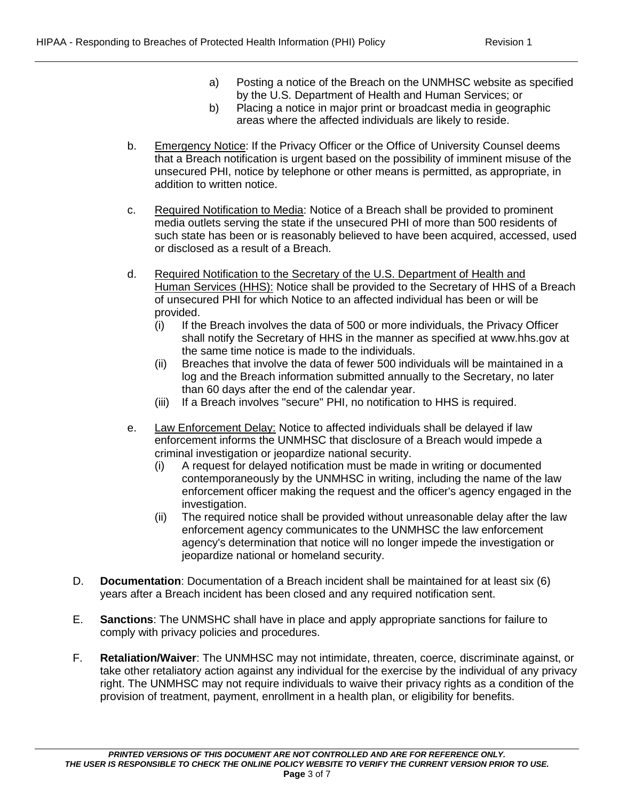- a) Posting a notice of the Breach on the UNMHSC website as specified by the U.S. Department of Health and Human Services; or
- b) Placing a notice in major print or broadcast media in geographic areas where the affected individuals are likely to reside.
- b. Emergency Notice: If the Privacy Officer or the Office of University Counsel deems that a Breach notification is urgent based on the possibility of imminent misuse of the unsecured PHI, notice by telephone or other means is permitted, as appropriate, in addition to written notice.
- c. Required Notification to Media: Notice of a Breach shall be provided to prominent media outlets serving the state if the unsecured PHI of more than 500 residents of such state has been or is reasonably believed to have been acquired, accessed, used or disclosed as a result of a Breach.
- d. Required Notification to the Secretary of the U.S. Department of Health and Human Services (HHS): Notice shall be provided to the Secretary of HHS of a Breach of unsecured PHI for which Notice to an affected individual has been or will be provided.
	- (i) If the Breach involves the data of 500 or more individuals, the Privacy Officer shall notify the Secretary of HHS in the manner as specified at www.hhs.gov at the same time notice is made to the individuals.
	- (ii) Breaches that involve the data of fewer 500 individuals will be maintained in a log and the Breach information submitted annually to the Secretary, no later than 60 days after the end of the calendar year.
	- (iii) If a Breach involves "secure" PHI, no notification to HHS is required.
- e. Law Enforcement Delay: Notice to affected individuals shall be delayed if law enforcement informs the UNMHSC that disclosure of a Breach would impede a criminal investigation or jeopardize national security.
	- (i) A request for delayed notification must be made in writing or documented contemporaneously by the UNMHSC in writing, including the name of the law enforcement officer making the request and the officer's agency engaged in the investigation.
	- (ii) The required notice shall be provided without unreasonable delay after the law enforcement agency communicates to the UNMHSC the law enforcement agency's determination that notice will no longer impede the investigation or jeopardize national or homeland security.
- D. **Documentation**: Documentation of a Breach incident shall be maintained for at least six (6) years after a Breach incident has been closed and any required notification sent.
- E. **Sanctions**: The UNMSHC shall have in place and apply appropriate sanctions for failure to comply with privacy policies and procedures.
- F. **Retaliation/Waiver**: The UNMHSC may not intimidate, threaten, coerce, discriminate against, or take other retaliatory action against any individual for the exercise by the individual of any privacy right. The UNMHSC may not require individuals to waive their privacy rights as a condition of the provision of treatment, payment, enrollment in a health plan, or eligibility for benefits.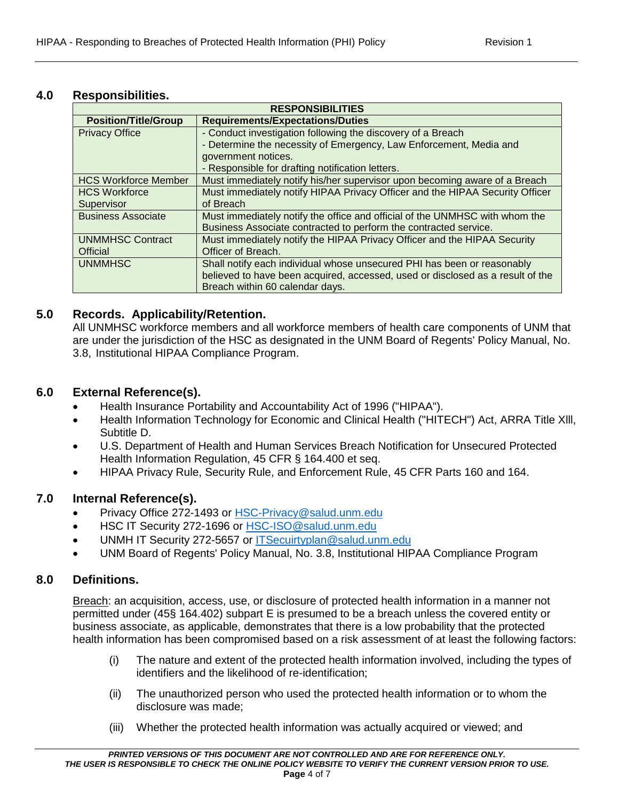### **4.0 Responsibilities.**

| <b>RESPONSIBILITIES</b>     |                                                                                |  |  |  |
|-----------------------------|--------------------------------------------------------------------------------|--|--|--|
| <b>Position/Title/Group</b> | <b>Requirements/Expectations/Duties</b>                                        |  |  |  |
| <b>Privacy Office</b>       | - Conduct investigation following the discovery of a Breach                    |  |  |  |
|                             | - Determine the necessity of Emergency, Law Enforcement, Media and             |  |  |  |
|                             | government notices.                                                            |  |  |  |
|                             | - Responsible for drafting notification letters.                               |  |  |  |
| <b>HCS Workforce Member</b> | Must immediately notify his/her supervisor upon becoming aware of a Breach     |  |  |  |
| <b>HCS Workforce</b>        | Must immediately notify HIPAA Privacy Officer and the HIPAA Security Officer   |  |  |  |
| Supervisor                  | of Breach                                                                      |  |  |  |
| <b>Business Associate</b>   | Must immediately notify the office and official of the UNMHSC with whom the    |  |  |  |
|                             | Business Associate contracted to perform the contracted service.               |  |  |  |
| <b>UNMMHSC Contract</b>     | Must immediately notify the HIPAA Privacy Officer and the HIPAA Security       |  |  |  |
| Official                    | Officer of Breach.                                                             |  |  |  |
| <b>UNMMHSC</b>              | Shall notify each individual whose unsecured PHI has been or reasonably        |  |  |  |
|                             | believed to have been acquired, accessed, used or disclosed as a result of the |  |  |  |
|                             | Breach within 60 calendar days.                                                |  |  |  |

### **5.0 Records. Applicability/Retention.**

All UNMHSC workforce members and all workforce members of health care components of UNM that are under the jurisdiction of the HSC as designated in the UNM Board of Regents' Policy Manual, No. 3.8, Institutional HIPAA Compliance Program.

### **6.0 External Reference(s).**

- Health Insurance Portability and Accountability Act of 1996 ("HIPAA").
- Health Information Technology for Economic and Clinical Health ("HITECH") Act, ARRA Title Xlll, Subtitle D.
- U.S. Department of Health and Human Services Breach Notification for Unsecured Protected Health Information Regulation, 45 CFR § 164.400 et seq.
- HIPAA Privacy Rule, Security Rule, and Enforcement Rule, 45 CFR Parts 160 and 164.

## **7.0 Internal Reference(s).**

- Privacy Office 272-1493 or [HSC-Privacy@salud.unm.edu](mailto:HSC-Privacy@salud.unm.edu)
- HSC IT Security 272-1696 or [HSC-ISO@salud.unm.edu](mailto:HSC-ISO@salud.unm.edu)
- UNMH IT Security 272-5657 or [ITSecuirtyplan@salud.unm.edu](mailto:ITSecuirtyplan@salud.unm.edu)
- UNM Board of Regents' Policy Manual, No. 3.8, Institutional HIPAA Compliance Program

### **8.0 Definitions.**

Breach: an acquisition, access, use, or disclosure of protected health information in a manner not permitted under (45§ 164.402) subpart E is presumed to be a breach unless the covered entity or business associate, as applicable, demonstrates that there is a low probability that the protected health information has been compromised based on a risk assessment of at least the following factors:

- (i) The nature and extent of the protected health information involved, including the types of identifiers and the likelihood of re-identification;
- (ii) The unauthorized person who used the protected health information or to whom the disclosure was made;
- (iii) Whether the protected health information was actually acquired or viewed; and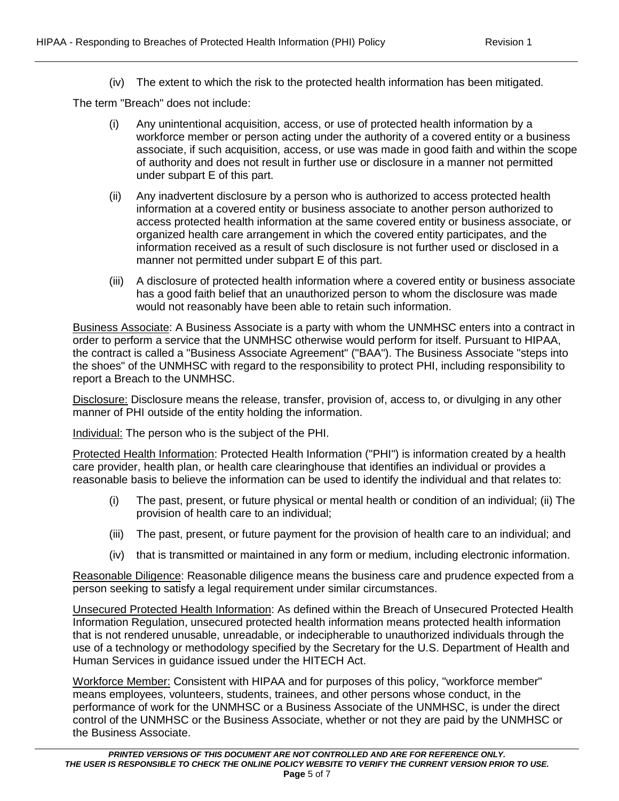(iv) The extent to which the risk to the protected health information has been mitigated.

The term "Breach" does not include:

- (i) Any unintentional acquisition, access, or use of protected health information by a workforce member or person acting under the authority of a covered entity or a business associate, if such acquisition, access, or use was made in good faith and within the scope of authority and does not result in further use or disclosure in a manner not permitted under subpart E of this part.
- (ii) Any inadvertent disclosure by a person who is authorized to access protected health information at a covered entity or business associate to another person authorized to access protected health information at the same covered entity or business associate, or organized health care arrangement in which the covered entity participates, and the information received as a result of such disclosure is not further used or disclosed in a manner not permitted under subpart E of this part.
- (iii) A disclosure of protected health information where a covered entity or business associate has a good faith belief that an unauthorized person to whom the disclosure was made would not reasonably have been able to retain such information.

Business Associate: A Business Associate is a party with whom the UNMHSC enters into a contract in order to perform a service that the UNMHSC otherwise would perform for itself. Pursuant to HIPAA, the contract is called a "Business Associate Agreement" ("BAA"). The Business Associate "steps into the shoes" of the UNMHSC with regard to the responsibility to protect PHI, including responsibility to report a Breach to the UNMHSC.

Disclosure: Disclosure means the release, transfer, provision of, access to, or divulging in any other manner of PHI outside of the entity holding the information.

Individual: The person who is the subject of the PHI.

Protected Health Information: Protected Health Information ("PHI") is information created by a health care provider, health plan, or health care clearinghouse that identifies an individual or provides a reasonable basis to believe the information can be used to identify the individual and that relates to:

- (i) The past, present, or future physical or mental health or condition of an individual; (ii) The provision of health care to an individual;
- (iii) The past, present, or future payment for the provision of health care to an individual; and
- (iv) that is transmitted or maintained in any form or medium, including electronic information.

Reasonable Diligence: Reasonable diligence means the business care and prudence expected from a person seeking to satisfy a legal requirement under similar circumstances.

Unsecured Protected Health Information: As defined within the Breach of Unsecured Protected Health Information Regulation, unsecured protected health information means protected health information that is not rendered unusable, unreadable, or indecipherable to unauthorized individuals through the use of a technology or methodology specified by the Secretary for the U.S. Department of Health and Human Services in guidance issued under the HITECH Act.

Workforce Member: Consistent with HIPAA and for purposes of this policy, "workforce member" means employees, volunteers, students, trainees, and other persons whose conduct, in the performance of work for the UNMHSC or a Business Associate of the UNMHSC, is under the direct control of the UNMHSC or the Business Associate, whether or not they are paid by the UNMHSC or the Business Associate.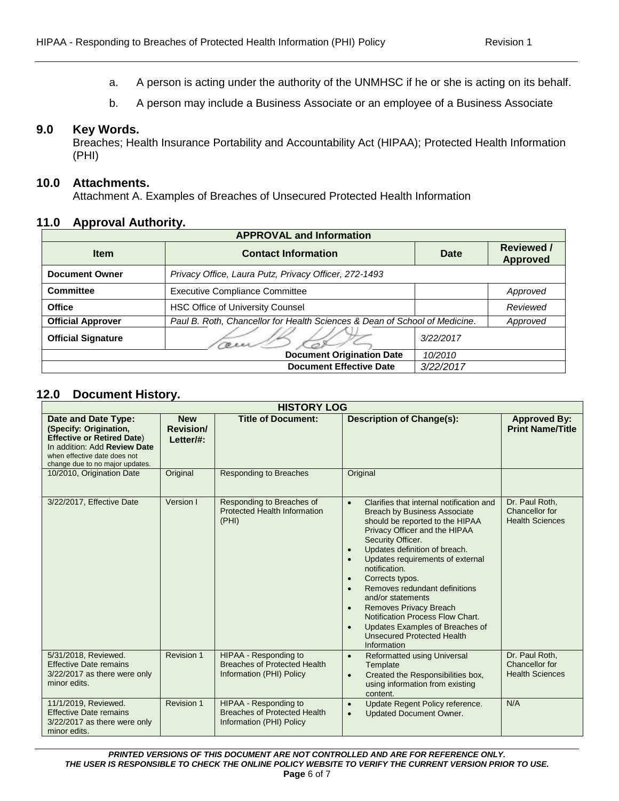- a. A person is acting under the authority of the UNMHSC if he or she is acting on its behalf.
- b. A person may include a Business Associate or an employee of a Business Associate

#### **9.0 Key Words.**

Breaches; Health Insurance Portability and Accountability Act (HIPAA); Protected Health Information (PHI)

#### **10.0 Attachments.**

Attachment A. Examples of Breaches of Unsecured Protected Health Information

#### **11.0 Approval Authority.**

| <b>APPROVAL and Information</b> |                                                                            |             |                                      |  |  |
|---------------------------------|----------------------------------------------------------------------------|-------------|--------------------------------------|--|--|
| <b>Item</b>                     | <b>Contact Information</b>                                                 | <b>Date</b> | <b>Reviewed /</b><br><b>Approved</b> |  |  |
| <b>Document Owner</b>           | Privacy Office, Laura Putz, Privacy Officer, 272-1493                      |             |                                      |  |  |
| <b>Committee</b>                | <b>Executive Compliance Committee</b>                                      |             | Approved                             |  |  |
| <b>Office</b>                   | <b>HSC Office of University Counsel</b>                                    |             | Reviewed                             |  |  |
| <b>Official Approver</b>        | Paul B. Roth, Chancellor for Health Sciences & Dean of School of Medicine. |             | Approved                             |  |  |
| <b>Official Signature</b>       |                                                                            | 3/22/2017   |                                      |  |  |
|                                 | <b>Document Origination Date</b>                                           | 10/2010     |                                      |  |  |
|                                 | <b>Document Effective Date</b>                                             | 3/22/2017   |                                      |  |  |

### **12.0 Document History.**

| <b>HISTORY LOG</b>                                                                                                                                                                    |                                             |                                                                                          |                                                                                                                                                                                                                                                                                                                                                                                                                                                                                                                                                                                         |                                                            |  |
|---------------------------------------------------------------------------------------------------------------------------------------------------------------------------------------|---------------------------------------------|------------------------------------------------------------------------------------------|-----------------------------------------------------------------------------------------------------------------------------------------------------------------------------------------------------------------------------------------------------------------------------------------------------------------------------------------------------------------------------------------------------------------------------------------------------------------------------------------------------------------------------------------------------------------------------------------|------------------------------------------------------------|--|
| Date and Date Type:<br>(Specify: Origination,<br><b>Effective or Retired Date)</b><br>In addition: Add Review Date<br>when effective date does not<br>change due to no major updates. | <b>New</b><br><b>Revision/</b><br>Letter/#: | <b>Title of Document:</b>                                                                | <b>Description of Change(s):</b>                                                                                                                                                                                                                                                                                                                                                                                                                                                                                                                                                        | <b>Approved By:</b><br><b>Print Name/Title</b>             |  |
| 10/2010, Origination Date                                                                                                                                                             | Original                                    | <b>Responding to Breaches</b>                                                            | Original                                                                                                                                                                                                                                                                                                                                                                                                                                                                                                                                                                                |                                                            |  |
| 3/22/2017, Effective Date                                                                                                                                                             | Version I                                   | Responding to Breaches of<br>Protected Health Information<br>(PHI)                       | Clarifies that internal notification and<br>$\bullet$<br><b>Breach by Business Associate</b><br>should be reported to the HIPAA<br>Privacy Officer and the HIPAA<br>Security Officer.<br>Updates definition of breach.<br>$\bullet$<br>Updates requirements of external<br>$\bullet$<br>notification.<br>Corrects typos.<br>$\bullet$<br>Removes redundant definitions<br>$\bullet$<br>and/or statements<br>Removes Privacy Breach<br>$\bullet$<br>Notification Process Flow Chart.<br>Updates Examples of Breaches of<br>$\bullet$<br><b>Unsecured Protected Health</b><br>Information | Dr. Paul Roth,<br>Chancellor for<br><b>Health Sciences</b> |  |
| 5/31/2018, Reviewed.<br><b>Effective Date remains</b><br>3/22/2017 as there were only<br>minor edits.                                                                                 | Revision 1                                  | HIPAA - Responding to<br><b>Breaches of Protected Health</b><br>Information (PHI) Policy | <b>Reformatted using Universal</b><br>$\bullet$<br>Template<br>Created the Responsibilities box,<br>$\bullet$<br>using information from existing<br>content.                                                                                                                                                                                                                                                                                                                                                                                                                            | Dr. Paul Roth,<br>Chancellor for<br><b>Health Sciences</b> |  |
| 11/1/2019, Reviewed.<br><b>Effective Date remains</b><br>3/22/2017 as there were only<br>minor edits.                                                                                 | <b>Revision 1</b>                           | HIPAA - Responding to<br><b>Breaches of Protected Health</b><br>Information (PHI) Policy | Update Regent Policy reference.<br>$\bullet$<br><b>Updated Document Owner.</b><br>$\bullet$                                                                                                                                                                                                                                                                                                                                                                                                                                                                                             | N/A                                                        |  |